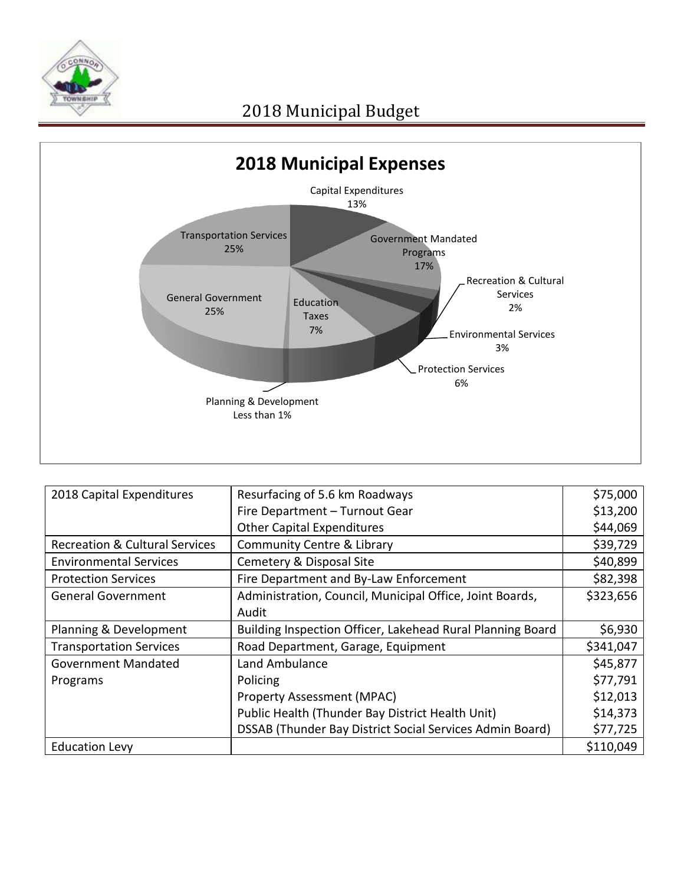



| 2018 Capital Expenditures                 | Resurfacing of 5.6 km Roadways                             | \$75,000  |
|-------------------------------------------|------------------------------------------------------------|-----------|
|                                           | Fire Department - Turnout Gear                             | \$13,200  |
|                                           | <b>Other Capital Expenditures</b>                          | \$44,069  |
| <b>Recreation &amp; Cultural Services</b> | <b>Community Centre &amp; Library</b>                      | \$39,729  |
| <b>Environmental Services</b>             | Cemetery & Disposal Site                                   | \$40,899  |
| <b>Protection Services</b>                | Fire Department and By-Law Enforcement                     | \$82,398  |
| <b>General Government</b>                 | Administration, Council, Municipal Office, Joint Boards,   | \$323,656 |
|                                           | Audit                                                      |           |
| Planning & Development                    | Building Inspection Officer, Lakehead Rural Planning Board | \$6,930   |
| <b>Transportation Services</b>            | Road Department, Garage, Equipment                         | \$341,047 |
| Government Mandated                       | Land Ambulance                                             | \$45,877  |
| Programs                                  | Policing                                                   | \$77,791  |
|                                           | <b>Property Assessment (MPAC)</b>                          | \$12,013  |
|                                           | Public Health (Thunder Bay District Health Unit)           | \$14,373  |
|                                           | DSSAB (Thunder Bay District Social Services Admin Board)   | \$77,725  |
| <b>Education Levy</b>                     |                                                            | \$110,049 |